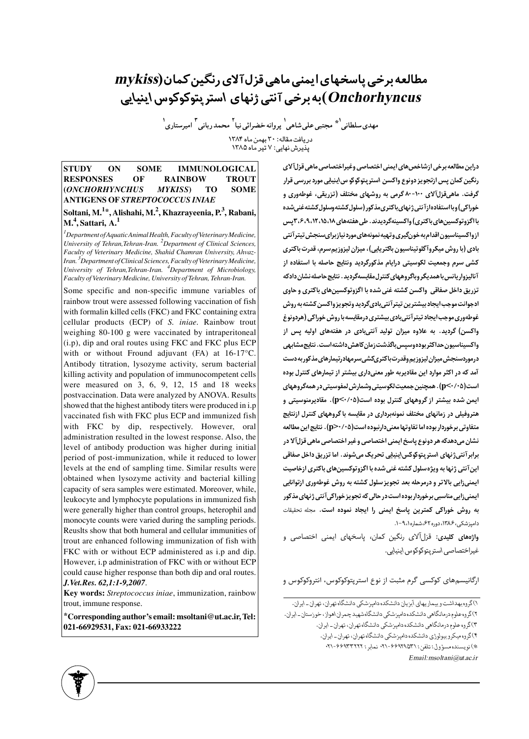# مطالعه برخی پاسخهای ایمنی ماهی قزل آلای رنگین کمان(mykiss *Onchorhyncus*)به برخی آنتی ژنهای استریتوکوکوس اینیایی

مهدي سلطاني<sup>1</sup>\* مجتبي على شاهي<sup>1</sup> پروانه خضرائي نيا<sup>٢</sup> محمد رباني <sup>٣</sup> اميرستاري<sup>1</sup> دریافت مقاله: ۳۰ بهمن ماه ۱۳۸۴ یذیرش نهایی: ۷ تیر ماه ۱۳۸۵

**STUDY**  $O<sub>N</sub>$ **SOME IMMUNOLOGICAL RESPONSES** OF **RAINBOW TROUT (ONCHORHYNCHUS MYKISS**) **TO SOME ANTIGENS OF STREPTOCOCCUS INIAE** Soltani, M.<sup>1\*</sup>, Alishahi, M.<sup>2</sup>, Khazrayeenia, P.<sup>3</sup>, Rabani,

## $M<sup>4</sup>$ , Sattari, A.<sup>1</sup>

 ${}^{1}$ Department of Aquatic Animal Health, Faculty of Veterinary Medicine, University of Tehran, Tehran-Iran. <sup>2</sup>Department of Clinical Sciences, Faculty of Veterinary Medicine, Shahid Chamran University, Ahvaz-Iran.<sup>3</sup> Department of Clinical Sciences, Faculty of Veterinary Medicine, University of Tehran, Tehran-Iran. <sup>4</sup>Department of Microbiology, Faculty of Veterinary Medicine, University of Tehran, Tehran-Iran.

Some specific and non-specific immune variables of rainbow trout were assessed following vaccination of fish with formalin killed cells (FKC) and FKC containing extra cellular products (ECP) of S. iniae. Rainbow trout weighing 80-100 g were vaccinated by intraperitoneal (i.p), dip and oral routes using FKC and FKC plus ECP with or without Fround adjuvant (FA) at 16-17°C. Antibody titration, lysozyme activity, serum bacterial killing activity and population of immunocompetent cells were measured on 3, 6, 9, 12, 15 and 18 weeks postvaccination. Data were analyzed by ANOVA. Results showed that the highest antibody titers were produced in i.p vaccinated fish with FKC plus ECP and immunized fish with FKC by dip, respectively. However, oral administration resulted in the lowest response. Also, the level of antibody production was higher during initial period of post-immunization, while it reduced to lower levels at the end of sampling time. Similar results were obtained when lysozyme activity and bacterial killing capacity of sera samples were estimated. Moreover, while, leukocyte and lymphocyte populations in immunized fish were generally higher than control groups, heterophil and monocyte counts were varied during the sampling periods. Reuslts show that both humeral and cellular immunities of trout are enhanced following immunization of fish with FKC with or without ECP administered as i.p and dip. However, i.p administration of FKC with or without ECP could cause higher response than both dip and oral routes. J. Vet. Res. 62, 1:1-9, 2007.

Key words: Streptococcus iniae, immunization, rainbow trout, immune response.

\*Corresponding author's email: msoltani@ut.ac.ir, Tel: 021-66929531, Fax: 021-66933222

دراین مطالعه برخی ازشاخص های ایمنی اختصاصی وغیراختصاصی ماهی قزلآلای رنگین کمان پس ازتجویز دونوع واکسن استریتوکوکو س!پنیلی مورد بررسی قرار گرفت. ماهیقزلآلای ۱۰۰-۸۰ گرمی به روشهای مختلف (تزریقی، غوطهوری و خوراکی) وبا استفاده ازآنتی ژنهای باکتری مذکور (سلول کشته وسلول کشته غنی شده با اگزوتوکسین های باکتری) واکسینهگردیدند. طی هفتههای ۱۵،۱۵،۱۸،۱۵،۶،۳ پس ازواكسيناسيون اقدام به خونگيري وتهيه نمونههاي مورد نيازبراي سنجش تيترآنتي بادی (با روش میکروآگلوتیناسیون باکتریایی)، میزان لیزوزیم سرم، قدرت باکتری کشی سرم وجمعیت لکوسیتی درایام مذکورگردید ونتایج حاصله با استفاده از آنالیزواریانس با همدیگر وباگروههای کنترل مقایسهگردید . نتایج حاصله نشان دادکه تزریق داخل صفاقی واکسن کشته غنی شده با اگزوتوکسینهای باکتری و حاوی ادجوانت موجب ايجاد بيشترين تيترآنتي بادىگرديد وتجويز واكسن كشته به روش غوطهوری موجب ایجاد تیترآنتی بادی بیشتری درمقایسه با روش خوراکی (هردونوغ واکسن) گردید. به علاوه میزان تولید آنتیبادی در هفتههای اولیه پس از واكسيناسيون حداكثر بودهوسيس باگذشت;مان كاهش داشته است. نتايج مشابهي درموردسنجش میزان لیزوزیم وقدرت باکتریکشی سرمهادرتیمارهای مذکور به دست آمد که در اکثر موارد این مقادیربه طور معنیداری بیشتر از تیمارهای کنترل بوده است(p<۰/۰۵). همچنین جمعیت لکوسیتی وشمارش لمفوسیتی در همهگروههای ایمن شده بیشتر از گروههای کنترل بوده است(۱⁄۰۰∆-p). مقادیرمنوسیتی و هتروفیلی در زمانهای مختلف نمونهبرداری در مقایسه با گروههای کنترل ازنتایج متفاوتي برخوردار بوده اما تفاوتها معنىدارنبوده است(١٠٥-<p) . نتايج اين مطالعه نشان میدهدکه هر دونوع پاسخ ایمنی اختصاصی وغیر اختصاصی ماهی قزلآلا در برابرآنتيژنهاي استريتوكوكس\ينيايي تحريك ميشوند. اما تزريق داخل صفاقي این آنتی ژنها به ویژهسلول کشته غنی شده با اگزوتوکسینهای باکتری ازخاصیت ایمنیزایی بالاتر و درمرحله بعد تجویز سلول کشته به روش غوطهوری ازتوانایی **ایمنی زایی مناسبی برخوردار بوده است در حالی که تجویز خوراکی آنتی ژنهای مذکور** به روش خوراکی کمترین پاسخ ایمنی را ایجاد نموده است. مجله تحقیقات دامیزشکی، ۱۳۸۶، دوره ۶۲، شماره ۹، ۹-۱.

واژههای کلیدی: قزل آلای رنگین کمان، پاسخهای ایمنی اختصاصی و غيراختصاصي استريتوكوكوس اينيايي.

ارگانیسمهای کوکسی گرم مثبت از نوع استرپتوکوکوس، انتروکوکوس و



۱)گروه بهداشت و بیماریهای آبزیان دانشکده دامیزشکی دانشگاه تهران، تهران ـ ایران. ۲)گروه علوم درمانگاهی دانشکده دامپزشکی دانشگاهشهید چمران اهواز، خوزستان ـ ایران. ۳)گروه علوم درمانگاهی دانشکده دامپزشکی دانشگاه تهران، تهران- ایران. ۴)گروه میکروبیولوژی دانشکده دامپزشکی دانشگاه تهران، تهران- ایران. \*)نويسنده مسؤول:تلفن:٣١٥٣٩٦٩-٣١، نمابر : ٣٢١٣٣٢٢٢٢. Email: msoltani@ut.ac.ir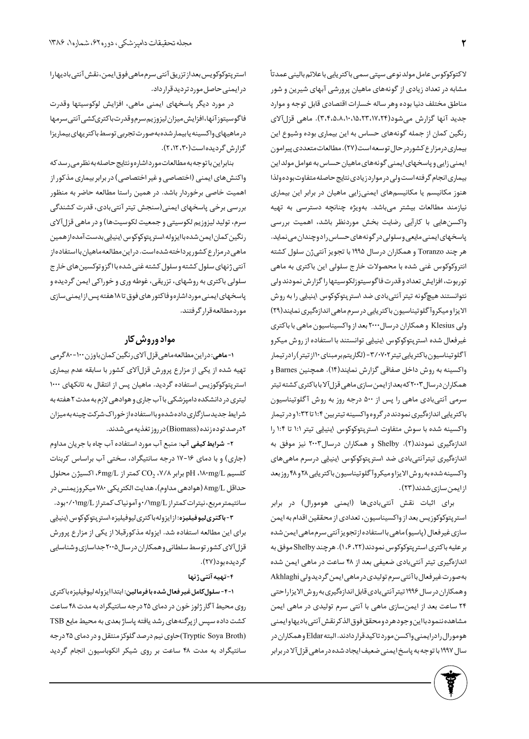لا کتوکوکوس عامل مولد نوعی سپتی سمی باکتریایی با علائم بالینی عمدتاً مشابه در تعداد زیادی از گونههای ماهیان پرورشی آبهای شیرین و شور مناطق مختلف دنيا بوده وهر ساله خسارات اقتصادى قابل توجه و موارد جدید آنها گزارش میشود(۲٬۲۴،۱۵،۲۰،۱۵،۲۰،۱۵). ماهی قزلآلای رنگین کمان از جمله گونههای حساس به این بیماری بوده وشیوع این بیماری درمزارع کشوردر حال توسعه است (٢٧). مطالعات متعددی پیرامون ایمنی زایی و پاسخهای ایمنی گونههای ماهیان حساس به عوامل مولداین بيماري انجام گرفته است ولي در موارد زيادي نتايج حاصله متفاوت بوده ولذا هنوز مکانیسم یا مکانیسمهای ایمنیزایی ماهیان در برابر این بیماری نیازمند مطالعات بیشتر میباشد. بهویژه چنانچه دسترسی به تهیه واکسنهایی با کارآیی رضایت بخش موردنظر باشد، اهمیت بررسی پاسخهای ایمنی مایعی وسلولی در گونههای حساس رادوچندان می نماید. هر چند Toranzo و همکاران درسال ۱۹۹۵ با تجویز آنتیژن سلول کشته انتروکوکوس غنی شده با محصولات خارج سلولی این باکتری به ماهی توربوت، افزایش تعداد و قدرت فاگوسیتوزلکوسیتها را گزارش نمودند ولی نتوانستند هیچگونه تیتر آنتیبادی ضد استرپتوکوکوس اینیایی را به روش الایزا و میکروآ گلوتیناسیون باکتریایی در سرم ماهی اندازهگیری نمایند(۲۹) ولی Klesius و همکاران درسال ۲۰۰۰ بعد از واکسیناسیون ماهی با باکتری غیرفعال شده استرپتوکوکوس اینیایی توانستند با استفاده از روش میکرو آگلوتیناسیون باکتریایی تیتر۲٬۰۷۰۲- (لگاریتم برمبنای ۱۰ از تیتر) رادر تیمار واكسينه به روش داخل صفاقي گزارش نمايند(١۴). همچنين Barnes و همکاران درسال ۲۰۰۳ که بعداز ایمن سازی ماهی قزل آلاباباکتری کشته تیتر سرمی آنتیبادی ماهی را پس از ۵۰۰ درجه روز به روش آگلوتیناسیون باکتریایی اندازهگیری نمودند در گروه واکسینه تیتربین ۱:۴ تا ۱:۳۲ و در تیمار واکسینه شده با سوش متفاوت استرپتوکوکوس اینیایی تیتر ۱:۱ تا ۱:۴ را اندازهگیری نمودند(۲). Shelby و همکاران درسال۲۰۰۳ نیز موفق به اندازہگیری تیترآنتیبادی ضد استرپتوکوکوس اینیایی درسرم ماهیهای واكسينه شده به روش الايزاو ميكروآ گلوتيناسيون باكتريايي ٢٨ و ۴٨ روز بعد از ایمن سازی شدند(۲۳).

برای اثبات نقش آنتیبادیها (ایمنی هومورال) در برابر استرپتوکوکوزیس بعد از واکسیناسیون، تعدادی از محققین اقدام به ایمن سازي غير فعال (پاسيو) ماهي بااستفاده از تجويز آنتي سرم ماهي ايمن شده بر عليه باكترى استر پتوكوكوس نمودند(٢٢، ١،۶). هرچند Shelby موفق به اندازهگیری تیتر آنتیبادی ضعیفی بعد از ۴۸ ساعت در ماهی ایمن شده بهصورت غیرفعال با آنتی سرم تولیدی در ماهی ایمن گردیدولی Akhlaghi وهمكاران درسال ۱۹۹۶ تيتر آنتي بادي قابل اندازهگيري به روش الايزاراحتي ۲۴ ساعت بعد از ایمنسازی ماهی با آنتی سرم تولیدی در ماهی ایمن مشاهده ننمودبااين وجودهر دومحقق فوق الذكر نقش آنتي باديها وايمنى هومورال رادرايمنى واكسن مورد تاكيدقرار دادند. البته Eldar وهمكاران در سال ۱۹۹۷ با توجه به پاسخ ایمنی ضعیف ایجاد شده در ماهی قزلآلا در برابر

استر پتوکوکویس بعداز تزریق آنتی سرم ماهی فوق ایمن، نقش آنتی بادیهارا در ایمنی حاصل مورد تردید قرار داد.

در مورد دیگر پاسخهای ایمنی ماهی، افزایش لوکوسیتها وقدرت فاگوسيتوز آنها، افزايش ميزان ليزوزيم سرم وقدرت باكترىكشى آنتى سرمها در ماهیهای واکسینه یابیمار شده به صورت تجربی توسط باکتر یهای بیماریزا گزارش گردیده است(۲، ۲، ۲، ۲).

بنابراين با توجه به مطالعات مورداشاره ونتايج حاصله به نظر مى رسد كه واکنش های ایمنی (اختصاصی و غیر اختصاصی) در برابر بیماری مذکور از اهمیت خاصی برخوردار باشد. در همین راستا مطالعه حاضر به منظور بررسی برخی پاسخهای ایمنی(سنجش تیتر آنتیبادی، قدرت کشندگی سرم، تولید لیزوزیم لکوسیتی و جمعیت لکوسیتها) و در ماهی قزلآلای رنگین کمان ایمن شده باایزوله استر پتوکوکوس اینیایی بدست آمده از همین ماهی در مزارع کشور پرداخته شده است. در این مطالعه ماهیان با استفاده از آنتی ژنهای سلول کشته و سلول کشته غنی شده بااگزوتوکسین های خارج سلولی باکتری به روشهای، تزریقی، غوطه وری و خوراکی ایمن گردیده و پاسخهای ایمنی مورد اشاره و فاکتور های فوق تا ۱۸هفته پس از ایمنی سازی موردمطالعهقرار گرفتند.

## مواد وروش کار

۱-ماهی: دراین مطالعه ماهی قزل آلای رنگین کمان باوزن ۱۰۰-۸۰ گرمی تهیه شده از یکی از مزارع پرورش قزلآلای کشور با سابقه عدم بیماری استرپتوکوکوزیس استفاده گردید. ماهیان پس از انتقال به تانکهای ۱۰۰۰ لیتری در دانشکده دامپزشکی با آب جاری و هوادهی لازم به مدت ۲ هفته به شرايط جديدسازگاري داده شده وبا استفاده از خوراک شرکت چينه به ميزان ادرصد توده زنده (Biomass) در روز تغذیه می شدند.

۲- **شرایط کیفی آب**: منبع آب مورد استفاده آب چاه با جریان مداوم (جاری) و با دمای ۱۶-۱۷ درجه سانتیگراد، سختی آب براساس کربنات كلسيم pH ،۱۸۰mg/L برابر ۲/۸، CO $_{2}$  كمتر از  $\epsilon$ mg/L، اكسيژن محلول حداقل  $\text{Arg}/\text{L}$  (هوادهی مداوم)، هدایت الکتریکی ۷۸۰ میکروزیمنس در سانتيمتر مربع، نيترات كمتراز hmg/L/٠ وآمونياك كمتراز hmg/L/٠ بود.

۳-**باکتریلیوفیلیزه**:ازایزولهباکتریلیوفیلیزه استرپتوکوکوس اینیایی برای این مطالعه استفاده شد. ایزوله مذکورقبلا از یکی از مزارع پرورش قزلآلای کشور توسط سلطانی و همکاران در سال ۲۰۰۵ جداسازی و شناسایی گرديده بود(٢٧).

#### ۴-تهيه آنتي ژنها

1-۴- سلول كامل غير فعال شده با فرمالين: ابتدا ايزوله ليوفيليزه باكترى روی محیط آگار ژلوز خون در دمای ۲۵ درجه سانتیگراد به مدت ۴۸ ساعت کشت داده سپس از پرگنههای رشد یافته پاساژ بعدی به محیط مایع TSB (Tryptic Soya Broth)حاوی نیم درصد گلوکز منتقل و در دمای ۲۵ درجه سانتیگراد به مدت ۴۸ ساعت بر روی شیکر انکوباسیون انجام گردید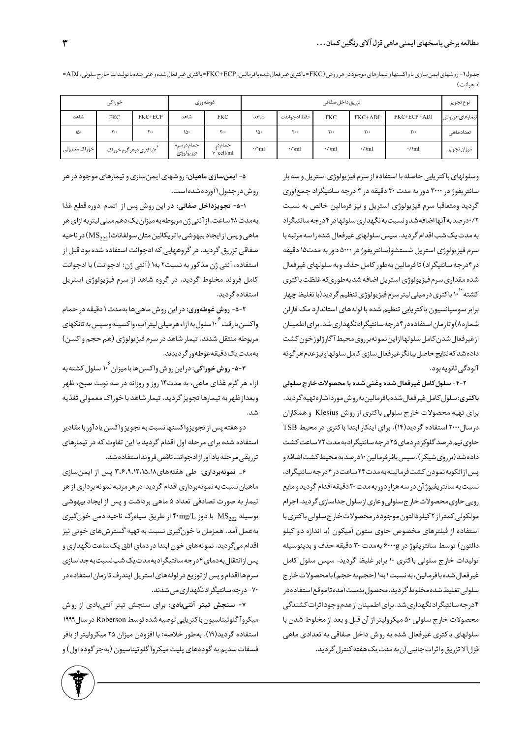|              | خوراكى                                  |              | غوطهورى                |                             |              | نوع تجويز    |                             |              |                             |                |
|--------------|-----------------------------------------|--------------|------------------------|-----------------------------|--------------|--------------|-----------------------------|--------------|-----------------------------|----------------|
| شاهد         | <b>FKC</b>                              | FKC+ECP      | شاهد                   | <b>FKC</b>                  | شاهد         | فقط ادجوانتت | <b>FKC</b>                  | FKC+ADJ      | FKC+ECP+ADJ                 | تيمارهاى هرروش |
| ۱۵۰          | ٢.,                                     | $\mathsf{y}$ | ۱۵۰                    | $\mathsf{r}\cdot\mathsf{r}$ | ۱۵۰          | ٢٠٠          | $\mathsf{r}\cdot\mathsf{r}$ | ۲.,          | $\mathsf{r}\cdot\mathsf{r}$ | تعدادماهى      |
| خوراک،معمولی | ۱۰ <sup>٬۲</sup> ۰باکتری درهر گرم خوراک |              | حمامدرسرم<br>فيزيولوژي | حمام دړ<br>$\cdot$ cell/ml  | $\cdot$ /\ml | $\cdot$ /\ml | $\cdot$ /\ml                | $\cdot$ /\ml | $\cdot$ /\ml                | ميزان تجويز    |

جدول1- روشهاى ايمن سازي باواكسنهاو تيمارهاي موجوددر هر روش (FKC=ECP=باكترى غير فعال شده وغي فعال شده وغني شده با توليدات خارج سلولي، ADJ= ادجوانت)

وسلولهای باکتریایی حاصله با استفاده از سرم فیزیولوژی استریل و سه بار سانتریفوژ در ۳۰۰۰ دور به مدت ۳۰ دقیقه در ۴ درجه سانتیگراد جمعآوری گرديد ومتعاقبا سرم فيزيولوژي استريل و نيز فرمالين خالص به نسبت ۰/۲درصدبه آنها اضافه شدونسبت به نگهداری سلولهادر ۴درجه سانتیگراد به مدت یک شب اقدام گردید. سپس سلولهای غیرفعال شده را سه مرتبه با سرم فيزيولوژي استريل شستشو(سانتريفوژ در ۵۰۰۰ دور به مدت۱۵ دقيقه در ۴درجه سانتیگراد) تا فرمالین بهطور کامل حذف وبه سلولهای غیرفعال شده مقداري سرم فيز يولوژي استريل اضافه شد بهطوريكه غلظت باكترى کشته ۱<sup>۰ |</sup> باکتری در میلی لیتر سرم فیزیولوژی تنظیم گردید(با تغلیظ چهار برابر سوسپانسیون باکتریایی تنظیم شده با لولههای استاندارد مک فارلن شماره۸) و تازمان استفاده در ۴ درجه سانتیگرادنگهداری شد. برای اطمینان ازغيرفعال شدن كامل سلولهاازاين نمونهبرروى محيط آگارژلوزخون كشت داده شد که نتایج حاصل بیانگر غیر فعال سازی کامل سلولهاونیز عدم هر گونه آلودگے ثانویهبود.

2-1- سلول کامل غیرفعال شده وغنی شده با محصولات خارج سلولی **باكترى**: سلول كامل غيرفعال شدهبافرمالين بهروش مورداشاره تهيه گرديد. برای تهیه محصولات خارج سلولی باکتری از روش Klesius و همکاران درسال۲۰۰۰ استفاده گردید(۱۴). برای اینکار ابتدا باکتری در محیط TSB حاوی نیم درصد گلوکز در دمای ۲۵ درجه سانتیگراد به مدت ۷۲ ساعت کشت داده شد (برروی شیکر ). سپس بافر فرمالین ۱۰ درصد به محیط کشت اضافه و پس از انکوبه نمودن کشت فرمالینه به مدت ۲۴ ساعت در ۴ درجه سانتیگراد، نسبت به سانتر یفیوژ آن در سه هزار دور به مدت ۲۰ دقیقه اقدام گردید و مایع رویی حاوی محصولات خارج سلولی وعاری از سلول جداسازی گردید. اجرام مولکولی کمتراز ۲ کیلودالتون موجود در محصولات خارج سلولی باکتری با استفاده از فیلترهای مخصوص حاوی ستون آمیکون (با اندازه دو کیلو دالتون) توسط سانتريفوژ در ۶۰۰۰g بهمدت ۳۰ دقيقه حذف و بدينوسيله تولیدات خارج سلولی باکتری ۱۰ برابر غلیظ گردید. سپس سلول کامل غيرفعال شده بافرمالين، به نسبت ۱ به ۱ (حجم به حجم) با محصولات خارج سلولي تغليظ شده مخلوط گرديد. محصول بدست آمده تاموقع استفاده در ۴ درجه سانتیگرادنگهداری شد. برای اطمینان از عدم وجوداثرات کشندگی محصولات خارج سلولي ۵۰ ميكروليتر از آن قبل و بعد از مخلوط شدن با سلولهای باکتری غیرفعال شده به روش داخل صفاقی به تعدادی ماهی قزل آلا تزريق واثرات جانبي آن به مدت يک هفته کنترل گر ديد.

۵- **ایمنسازی ماهیان**: روشهای ایمنسازی و تیمارهای موجود در هر روش در جدول (آورده شده است.

1-۵- تجويزداخل صفاتي: در اين روش پس از اتمام دوره قطع غذا بهمدت ۴۸ ساعت، از آنتی ژن مربوطه به میزان یک دهم میلی لیتر به ازای هر ماهی و پس از ایجاد بیهوشی با تریکائین متان سولفانات $\mathrm{MS}_{222}$ ) در ناحیه صفاقی تزریق گردید. در گروههایی که ادجوانت استفاده شده بود قبل از استفاده، آنتی ژن مذکور به نسبت۲ به۱ (آنتی ژن: ادجوانت ) با ادجوانت کامل فروند مخلوط گردید. در گروه شاهد از سرم فیزیولوژی استریل استفاده گردید.

۲-۵- **روش غوطهوري**: در اين روش ماهي ها بهمدت ۱ دقيقه در حمام واكسن بارقت ماسلول به ازاءهر ميلي ليتر آب،واكسينه وسپس به تانكهاي مربوطه منتقل شدند. تيمار شاهد در سرم فيزيولوژي (هم حجم واكسن) بەمدت یک دقیقه غوطەور گردیدند.

۵-۳- **روش خوراکی**: در این روش واکسن@ابامیزان ۱<sup>۰۶</sup> سلول کشته به ازاء هر گرم غذای ماهی، به مدت۱۴ روز و روزانه در سه نوبت صبح، ظهر وبعدازظهربه تيمارها تجويز گرديد. تيمار شاهد با خوراک معمولي تغذيه .<br>شد.

دو هفته پس از تجویزواکسنها نسبت به تجویز واکسن یادآور با مقادیر استفاده شده برای مرحله اول اقدام گردید با این تفاوت که در تیمارهای تزريقي مرحله يادآور ازادجوانت ناقص فروند استفاده شد.

۶- نمونهبرداری: طی هفتههای۱۲،۱۵،۱۸،۱۶،۹٫۱ پس از ایمنسازی ماهیان نسبت به نمونهبرداری اقدام گردید.در هر مرتبه نمونه برداری از هر تیمار به صورت تصادفی تعداد ۵ ماهی برداشت و پس از ایجاد بیهوشی بوسیله  $\mathrm{MS}_{222}$  با دوز ۴۰mg/L از طریق سیاهرگ ناحیه دمی خونگیری بهعمل آمد. همزمان با خونگیری نسبت به تهیه گسترش های خونی نیز اقدام میگردید. نمونههای خون ابتدا در دمای اتاق یک ساعت نگهداری و پس ازانتقال بەدمای ۴ درجەسانتیگرادبەمدت یک شب نسبت بەجداسازی سرمها اقدام و پس از توزیع در لولههای استریل اپندرف تا زمان استفاده در ۷۰- در جه سانتیگراد نگهداری می شدند.

۰۷ سنجش تیتر آنتیبادی: برای سنجش تیتر آنتیبادی از روش میکروآ گلوتیناسیون باکتریایی توصیه شده توسط Roberson در سال ۱۹۹۹ استفاده گردید(۱۹). بهطور خلاصه: با افزودن میزان ۲۵ میکرولیتر از بافر فسفات سديم به گودههاي پليت ميكروآ گلوتيناسيون (بهجز گوده اول) و

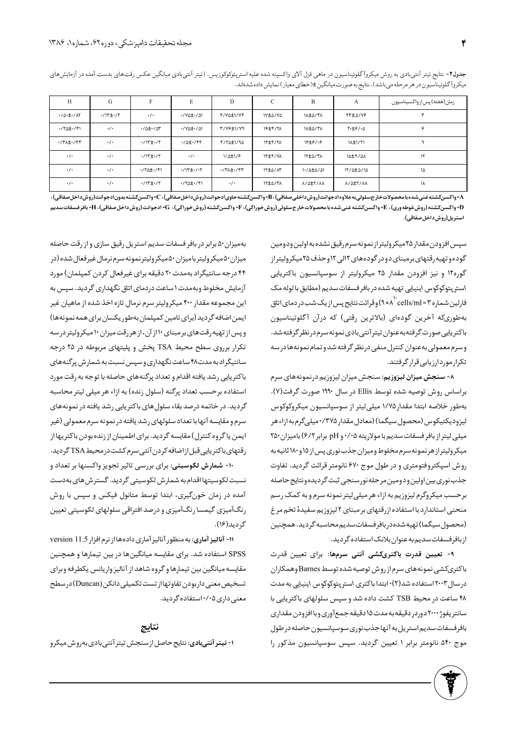| H                                      | G                                               | F                                               | E                                     | D                            | $\mathsf{C}$   | B                | A               | زمان(هفته) پس از واکسیناسیون |
|----------------------------------------|-------------------------------------------------|-------------------------------------------------|---------------------------------------|------------------------------|----------------|------------------|-----------------|------------------------------|
| $\cdot/\Delta \cdot \pm \cdot/\Lambda$ | $\cdot$ / $\uparrow$ $\pm$ $\cdot$ / $\uparrow$ | $\cdot/\cdot$                                   | $\cdot$ /YA $\pm$ $\cdot$ /A)         | F/VA±1/VF                    | IV±∆/Y∆        | IA±A/TA          | <b>TT±</b> 0/Y& |                              |
| $\cdot$ /۲۵± $\cdot$ /۴۱               | $\cdot/\cdot$                                   | $\cdot$ / $\Delta$ ± $\cdot$ / $\Delta$ ۳       | ·/ YA±·/ AI                           | T/YF±1/Y9                    | <b>19±4/71</b> | IA±A/TA          | $Y·t$ ۶/۰۵      |                              |
| $\cdot$ /٣ $\pm$ $\cdot$ /۴٣           | $\cdot/\cdot$                                   | $\cdot$ /۱۳ $\pm$ $\cdot$ /۲                    | $\cdot$ / $\Delta$ ± $\cdot$ /۴۴      | T/TA±1/94                    | <b>IF±F/TA</b> | $18 + 9 / 19$    | <b>11.1/11</b>  |                              |
| $\cdot$ / $\cdot$                      | $\cdot$ / $\cdot$                               | $\cdot$ / $\uparrow$ $\pm$ $\cdot$ / $\uparrow$ | $\cdot/\cdot$                         | $1/\Delta \pm 1/\epsilon$    | <b>IF±F/VA</b> | <b>IT±4/TA</b>   | 10±4/0A         | ۱٢                           |
| $\cdot/\cdot$                          | $\cdot/\cdot$                                   | $\cdot$ /۲۵± $\cdot$ /۴۱                        | $\cdot$ /۱۳ $\pm$ $\cdot$ / $\cdot$ ۲ | $\cdot$ /٣ $\pm$ $\cdot$ /۴٣ | IT±∆/AT        | $1.70 \pm 0.701$ | 17/0±0/10       | ١۵                           |
| $\cdot$ / $\cdot$                      | $\cdot/\cdot$                                   | $\cdot$ / $\uparrow$ $\pm$ $\cdot$ / $\uparrow$ | $\cdot$ /۲۵± $\cdot$ /۴۱              | $\cdot/\cdot$                | IT±4/TA        | A/A±Y/AA         | A/A±Y/AA        | ١٨                           |

جدول۲- نتايج تيتر آنتيبادي به روش ميكروآگلوتيناسيون در ماهي قزل آلاي واكسينه شده عليه استرپتوكوكروزيس. (تيتر آنتيبادي ميانگين عكس رقتهاي بدست آمده در آزمايش هاي میکروا گلوتیناسیون در هر مرحله می باشد). نتایج به صورت میانگین ±(خطای معیار) نمایش داده شدهاند.

A=واكسن∑شته غنى شده بامحصولاتخارج سلولى به علاوه ادجوانت(روش داخلى صفاقى)، B=واكسن≿شته حاوىادجوانت(روشداخل صفاقى)، C=واكسن∑شته بدونادجوانت(روش داخل صفاقى)، D= واكسنكشته (روش غوطه ورى)، E= واكسنكشته غنى شده با محصولات خارج سلولى (روش خوراكى)، F{= واكسنكشته (روش خوراكى)، G= ادجوانت (روش داخل صفاقى)، H= بافر فسفات سديم استريل(روشداخلصفاقي).

> سيس افزودن مقدار ٢۵ ميكروليتراز نمونه سرم رقيق نشده به اولين ودومين گوده و تهیه رقتهای برمبنای دودر گودههای ۱۲لی ۱۲وحذف ۲۵میکرولیتراز گوره۱۲ و نیز افزودن مقدار ۲۵ میکرولیتر از سوسپانسیون باکتریایی استر پتوکوکوس اینیایی تهیه شده در بافر فسفات سدیم (مطابق با لوله مک فارلین شماره ۳=cells/ml" \۸× ۹) وقرائت نتایج پس از یک شب در دمای اتاق بهطوریکه آخرین گودهای (بالاترین رقتی) که درآن آگلوتیناسیون باكتريايي صورت گرفته بهعنوان تيترآنتي بادي نمونه سرم درنظر گرفته شد. وسرم معمولي بهعنوان كنترل منفى درنظر گرفته شدو تمام نمونهها درسه تکرار موردارزیابی قرار گرفتند.

> ٨- سنجش ميزان ليزوزيم: سنجش ميزان ليزوزيم درنمونههاي سرم براساس روش توصیه شده توسط Ellis در سال ۱۹۹۰ صورت گرفت(۷). بهطور خلاصه ابتدا مقدار١/٧٥ ميلي[يتر از سوسپانسيون ميكروكوكوس لیزودیکتیکوس (محصول سیگما) (معادل مقدار ۲۷۵/۰میلی گرم به ازاء هر میلی لیتر از بافر فسفات سدیم با مولاریته ۰/۰۵و pH برابر ۶/۲) بامیزان ۲۵۰ میکرولیتراز هرنمونه سرم مخلوط ومیزان جذب نوری پس از ۱۵ و ۱۸۰ ثانیه به روش اسپکتروفتومتری و در طول موج ۶۷۰ نانومتر قرائت گردید. تفاوت جذب نوري بين اولين ودومين مرحله نورسنجي ثبت گرديده ونتايج حاصله برحسب میکروگرم لیزوزیم به ازاء هر میلی لیتر نمونه سرم و به کمک رسم منحنی استاندارد با استفاده از رقتهای بر مبنای ۲ لیزوزیم سفیدهٔ تخم مرغ (محصول سیگما)تهیه شده در بافر فسفات سدیم محاسبه گردید. همچنین از بافرفسفات سديم به عنوان بلانک استفاده گرديد.

> ۹- تعیین قدرت باکتریکشی آنتی سرمها: برای تعیین قدرت باکتریکشی نمونههای سرم از روش توصیه شده توسط Barnes وهمکاران درسال ۲۰۰۳ استفاده شد(۲)۰ ابتدا باکتری استرپتوکوکوس اینیایی به مدت ۴۸ ساعت در محیط TSB کشت داده شد و سپس سلولهای باکتریایی با سانتر يفوژ ۲۰۰۰ دوردر دقيقه به مدت ۱۵ دقيقه جمع آوري وبا افزودن مقداري بافر فسفات سديم استريل به آنها جذب نوري سوسپانسيون حاصله در طول موج ۵۴۰ نانومتر برابر ۱ تعیین گردید. سپس سوسپانسیون مذکور را

بهمیزان۵۰ برابر در بافر فسفات سدیم استریل رقیق سازی و از رقت حاصله میزان ۵۰میکرولیتر بامیزان ۵۰میکرولیتر نمونه سرم نرمال غیر فعال شده (در ۴۴ درجه سانتیگراد بهمدت ٢٠ دقیقه برای غیرفعال کردن کمپلمان) مورد آزمایش مخلوط وبهمدت ۱ ساعت دردمای اتاق نگهداری گردید. سپس به این مجموعه مقدار ۴۰۰ میکرولیتر سرم نرمال تازه اخذ شده از ماهیان غیر ایمن اضافه گردید (برای تامین کمپلمان بهطور یکسان برای همه نمونهها) وپس از تهیه رقت های بر مبنای ۱۰ از آن، از هر رقت میزان ۱۰ میکرولیتر در سه تکرار برروی سطح محیط TSA پخش و پلیتهای مربوطه در ۲۵ درجه سانتیگراد به مدت۴۸ ساعت نگهداری و سپس نسبت به شمارش پرگنههای باکتریایی رشد یافته اقدام و تعداد پرگنههای حاصله با توجه به رقت مورد استفاده برحسب تعداد پرگنه (سلول زنده) به ازاء هر میلی لیتر محاسبه گردید. در خاتمه درصد بقاء سلول های باکتریایی رشد یافته در نمونههای سرم و مقایسه آنها با تعداد سلولهای رشد یافته در نمونه سرم معمولی (غیر ایمن یا گروه کنترل) مقایسه گردید. برای اطمینان از زنده بودن باکتریها از رقتهاى باكتريايي قبل ازاضافه كردن آنتي سرم كشت درمحيط TSA گرديد.

۱۰- <mark>شمارش لکوسیتی</mark>: برای بررسی تاثیر تجویز واکسنها بر تعداد و نسبت لکوسیتها اقدام به شمارش لکوسیتی گردید. گسترش های بهدست آمده در زمان خونگیری، ابتدا توسط متانول فیکس و سپس با روش رنگآمیزی گیمسا رنگآمیزی و درصد افتراقی سلولهای لکوسیتی تعیین گرديد(۱۶).

١١- آناليز آماري: به منظور آناليز آماري دادهها از نرم افزار version 11.5 SPSS استفاده شد. برای مقایسه میانگینها در بین تیمارها و همچنین مقايسه ميانگين بين تيمارها و گروه شاهد از آناليز واريانس يكطرفه وبراي تسخیص معنی داربودن تفاوتهااز تست تکمیلی دانکن (Duncan) در سطح معنی داری ۰/۰۵استفاده گردید.

نتايج ۱- تیتر آنتی بادی: نتایج حاصل از سنجش تیتر آنتی بادی به روش میکرو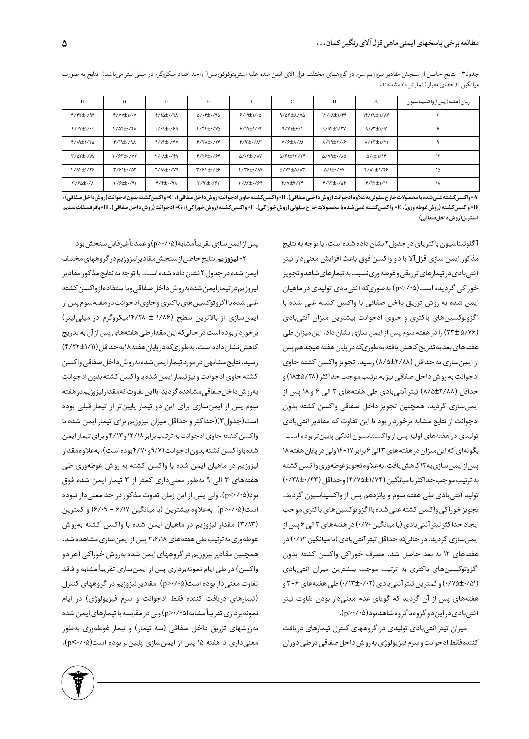| H                         | G               | F                                           | E                                              | D                                               | C                | B                        | A                                       | زمان(هفته) پس ازواکسیناسیون |
|---------------------------|-----------------|---------------------------------------------|------------------------------------------------|-------------------------------------------------|------------------|--------------------------|-----------------------------------------|-----------------------------|
| $f/fY_{\pm}$ ./94         | Y/YY±\/.Y       | F/10±./TA                                   | $\Delta$ / $\cdot$ ۴ $\pm$ $\cdot$ /٩ $\Delta$ | 9/4t                                            | 9/09 LA/VQ       | $\frac{17}{4}$           | <b>IF/YA±1/A</b>                        |                             |
| $f/\sqrt{t}/4$            | F/AF±./FA       | $f/(9 + 19)$                                | F/TF±./VQ                                      | 9/11/11/19                                      | $\frac{1}{2}$    | $9/95 \pm 1/7V$          | A/AT±1/91                               | ء                           |
| T/M±1/TA                  | $f/19 \pm 1/9$  | $f/1$ $f + 1$ $fV$                          | $f/T\lambda \pm 1/Tf$                          | $f/(9)$ ± $\cdot$ / $\Lambda$ ۳                 | V/FIL/A          | $\lambda$ /٢٩ $\pm$ ٢/٠۶ | <b>A/TT±1/T1</b>                        |                             |
| $Y/\Delta Y \pm 1/\Delta$ | $Y/5Y \pm 1.7Y$ | $Y/\cdot \lambda \pm \cdot$ /۴۷             | F/79±./94                                      | $\Delta$ / $\cdot$ ۲ $\pm$ $\cdot$ / $\Delta$ Y | A/۶۱±۱۳/۲۴       | A/V9±./AA                | $\Delta$ / $\cdot$ $\pm$ $\frac{1}{10}$ | ۱٢                          |
| F/ 1 F 1 / 7 F            | $\frac{1}{2}$   | $Y/\mathcal{M}$ + $\cdot$ / $\mathcal{V}$ ۹ | T/94±./09                                      | $Y/Y$ $Y+Y$                                     | <b>A/Y9±A/AT</b> | $\Delta$ /1± $\cdot$ /۶۷ | F/AF±1/79                               | ۱۵                          |
| $Y/6dt$ ./ $\Lambda$      | T/SQ±./91       | $f/f \pm 1.79$                              | T/91±./۶٢                                      | T/AT1./94                                       | F/Y±9/۲F         | $f/17 \pm 1/25$          | F/TT±1/11                               | ١٨                          |

جدول٣- نتايج حاصل از سنجش مقادير ليزوزيم سرم در گروههاي مختلف قزل آلاي ايمن شده عليه استريتوكوكوزيس( واحد اعداد ميكروگرم در ميلي ليتر ميباشد). نتايج به صورت میانگین±(خطای معیار) نمایش داده شدهاند.

A-واکسنکشته غنی شده بامحصولات خارج سلولی به علاوه ادجوانت(روش داخلی صفاقی)، B → Bواکسنکشته حاولکسنکشته بدون ادجوانت(روش داخل صفاقی)،) -[= واكسنكشته (روش غوطه ورى)، E= واكسنكشته غنى شده با محصولات خارج سلولى (روش خوراكى)، F{= واكسنكشته (روش داخل صفاقى القصفات الفضية القصاء == واكسنكشته (روش داخل صفاقى)، E{= بافر فسفات سديم استريل(روشداخل صفاقى).

> آگلوتیناسیون باکتریای در جدول۲نشان داده شده است. با توجه به نتایج مذکور ایمن سازی قزلآلا با دو واکسن فوق باعث افزایش معنیدار تیتر آنتىبادى در تيمارهاى تزريقى وغوطه ورى نسبت به تيمارهاى شاهدو تجويز خوراکی گردیده است(p<۰/۰۵) بهطوریکه آنتیبادی تولیدی در ماهیان ایمن شده به روش تزریق داخل صفاقی با واکسن کشته غنی شده با اگزوتوکسینهای باکتری و حاوی ادجوانت بیشترین میزان آنتیبادی (6/7/5 ±٢٣) را در هفته سوم پس از ایمن سازی نشان داد. این میزان طی هفتههاى بعدبه تدريج كاهش يافته بهطورىكه در پايان هفته هيجدهم پس از ایمن سازی به حداقل (۸/۵±۲/۸۸) رسید. تجویز واکسن کشته حاوی ادجوانت به روش داخل صفاقی نیز به ترتیب موجب حداکثر (۸/۵/۳۸) و حداقل (۸۸/۵±۱۸) تیتر آنتیبادی طی هفتههای ۳ الی ۶ و ۱۸ پس از ايمنسازي گرديد. همچنين تجويز داخل صفاقي واكسن كشته بدون ادجوانت از نتايج مشابه برخوردار بود با اين تفاوت كه مقادير آنتيبادي تولیدی در هفتههای اولیه پس از واکسیناسیون اندکی پایین تر بوده است. بگونهای که این میزان در هفتههای ۳ الی ۶ برابر ۱۷-۱۶ ولی در پایان هفته ۱۸ پس از ایمن سازی به ۱۲ کاهش یافت. به علاوه تجویز غوطه وری واکسن کشته به ترتيب موجب حداكثر با ميانگين (١/٧۴±٠/٧٥) و حداقل (٠/٣٨±٠/٢٣) تولید آنتیبادی طی هفته سوم و پانزدهم پس از واکسیناسیون گردید. تجويز خوراكي واكسن كشته غنى شده با اگزوتوكسين هاي باكترى موجب ایجاد حداکثر تیتر آنتی بادی (بامیانگین ۰/۷۰) در هفتههای ۳ الی ۶ پس از ایمنسازی گردید. در حالیکه حداقل تیتر آنتیبادی (با میانگین ۰/۱۳) در هفتههای ۱۲ به بعد حاصل شد. مصرف خوراکی واکسن کشته بدون اگزوتوکسینهای باکتری به ترتیب موجب بیشترین میزان آنتیبادی (۰/۷۵±۰/۱۸) و کمترین تیتر آنتی بادی (۰/۱۳±۰/۱۲) طی هفتههای ۶-۳ و هفتههای پس از آن گردید که گویای عدم معنیدار بودن تفاوت تیتر آنتی بادی در این دو گروه با گروه شاهد بود(۰۵/۰۷/۵).

> میزان تیتر آنتیبادی تولیدی در گروههای کنترل تیمارهای دریافت کننده فقط ادجوانت و سرم فیز یولوژی به روش داخل صفاقی در طی دوران

يس از ايمن سازي تقريباًمشابه(p>٠/٠۵) وعمدتاًغيرقابل سنجش بود. <mark>۲- لیزوزیم</mark>: نتایج حاصل از سنجش مقادیر لیزوزیم در گروههای مختلف ایمن شده در جدول ۲ نشان داده شده است. با توجه به نتایج مذکور مقادیر ليزوز يم در تيمارا يمن شده به روش داخل صفاقي وبااستفاده از واكسن كشته غنی شده با اگزوتوکسین های باکتری و حاوی ادجوانت در هفته سوم پس از ایمنسازی از بالاترین سطح (۱/۸۶ ± ۱۴/۲۸میکروگرم در میلیلیتر) برخوردار بوده است در حالیکه این مقدار طی هفتههای پس از آن به تدریج کاهش نشان داده است. به طوری که در پایان هفته ۱۸ به حداقل (۱/۱۱±۴/۲۲) رسيد. نتايج مشابهي در مورد تيمار ايمن شده بهروش داخل صفاقي واكسن کشته حاوی ادجوانت و نیز تیمار ایمن شده با واکسن کشته بدون ادجوانت بهروش داخل صفاقى مشاهده گرديد. بااين تفاوت كه مقدار ليزوزيم در هفته سوم پس از ایمنسازی برای این دو تیمار پایینتر از تیمار قبلی بوده است(جدول۳)(حداکثر و حداقل میزان لیزوزیم برای تیمار ایمن شده با واکسن کشته حاوی ادجوانت به ترتیب برابر ۱۲/۱۸ و ۴/۱۳ و برای تیمار ایمن شده باواکسن کشته بدون ادجوانت۹/۷۱ و ۴/۷۰ بوده است). به علاوه مقدار لیزوزیم در ماهیان ایمن شده با واکسن کشته به روش غوطهوری طے ٍ هفتههای ۳ الی ۹ بهطور معنیداری کمتر از ۳ تیمار ایمن شده فوق بود(p<٠/٠۵). ولي پس از اين زمان تفاوت مذكور در حد معنىدار نبوده |است(p>٠/٠۵]. به علاوه بیشترین (با میانگین ۶/۱۷ - ۶/۰۹) و کمترین (٣/٨٣) مقدار ليزوزيم در ماهيان ايمن شده با واكسن كشته بهروش غوطهوری به ترتیب طی هفتههای ۳،۶،۱۸ پس از ایمن سازی مشاهده شد. همچنین مقادیر لیزوزیم در گروههای ایمن شده بهروش خوراکی (هر دو واکسن) در طی ایام نمونهبرداری پس از ایمنسازی تقریباً مشابه و فاقد تفاوت معنی دار بوده است(p>٠/٠۵). مقادیر لیزوزیم در گروههای کنترل (تیمارهای دریافت کننده فقط ادجوانت و سرم فیزیولوژی) در ایام نمونهبرداري تقريباً مشابه(100/16م) ولي در مقايسه با تيمارهاي ايمن شده بهروشهای تزریق داخل صفاقی (سه تیمار) و تیمار غوطهوری بهطور معنیداری تا هفته ۱۵ پس از ایمنسازی پایینتر بوده است(۰/۰۵-.p<).

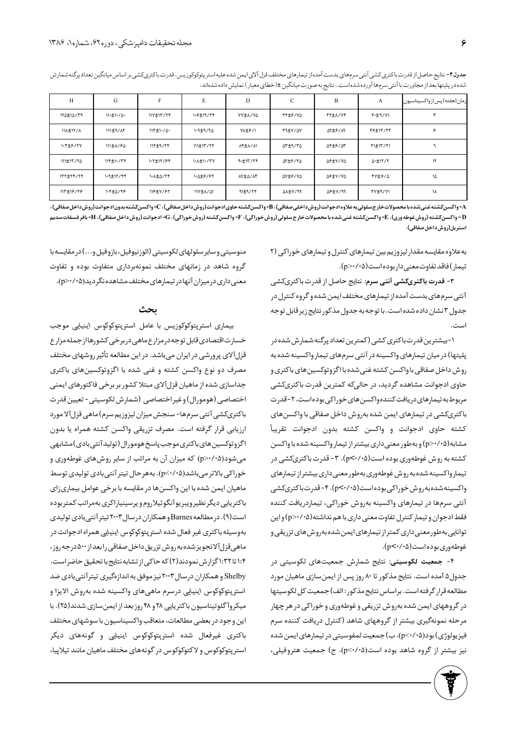| H                | G                               | F                  | E                | D              | $\mathbf C$    | B              | A                     | زمان(هفته) پس از واکسیناسیون |
|------------------|---------------------------------|--------------------|------------------|----------------|----------------|----------------|-----------------------|------------------------------|
| <b>۱۲۵±۱۵/۳۹</b> | $11 \cdot \pm 1 \cdot / \Delta$ | $11Y \pm 17' / 77$ | 1.6±19/۲۴        | VY±A/YA        | FF±6/YA        | <b>FYIA/YF</b> | <b>F-±9/V1</b>        |                              |
| <b>IIA±IY/A</b>  | $111 \pm 9 / AF$                | $117 \pm 1.70$     | $1.9 \pm 9/90$   | VA±۶/1         | FILY/AV        | ATIS/M         | <b>FS±1٣/٢۴</b>       | c                            |
| $1.7 + 5/7V$     | 111±1/60                        | $\frac{117+9}{77}$ | $111 \pm 17777$  | AF±A/A\        | <b>ST±9/75</b> | <b>AFIF/AT</b> | FI±IT/TI              |                              |
| 111±1٣/٢٥        | $\frac{116+1}{77}$              | 1.7±17/۶۴          | <b>1.1+1./٣٧</b> | 9.±15/75       | <b>ST±9/4S</b> | <b>AP±Y/YA</b> | $\Delta$ - $\pm$ ۱۲/۲ | $\mathcal{N}$                |
| $177 \pm 7977$   | <b>1.9±12/44</b>                | 1. A±4/٢۴          | 1.0±6/67         | <b>AY±A/AY</b> | AV±۶/VA        | <b>AP±Y/YA</b> | YY±9/4                | ١۵                           |
| <b>117±16/46</b> | 1.4±5/46                        | 118±V/97           | <b>IIV±A/AI</b>  | $91\pm9/76$    | AA±Y/99        | <b>APIY/99</b> | <b>FY±9/YI</b>        | ነለ                           |

جدول۴- نتايج حاصل از قدرت باكترىكشي آنتي سرم هاي بدست آمده از تيمارهاي مختلف قزل آلاي ايمن شده عليه استر پتوكوكوزيس. قدرت باكترىكشي بر اساس ميانگين تعداد پرگنه شمارش شده در پلیتها بعد از مجاورت با آنتی سرمها آورده شده است . نتایج به صورت میانگین ±(خطای معیار) نمایش داده شدهاند.

A= واكسن كشته غنى شده بامحصولات خارج سلولى به علاوه ادجوانت(روش داخلى صفاقى)، B• واكسنكشته حاوى ادجان لاروش، اخل صلق أ، C= واكسن كشته بدون ادجوانت(روش داخل صفاقى)، C= واكسن كشته بدون ادجوانت(روش داخل صفاقى)، [ = واكسنكشته (روش غوطه ورى)، E= واكسنكشته غنى شده با محصولات خارج سلولى (روش خوراكى)، G= (كروش)، G= (دجوانت(روش داخل صفاقى)، F= بافر فسفات سديم استريل(روش داخل صفاقى).

> به علاوه مقايسه مقدار ليزوزيم بين تيمارهاى كنترل وتيمارهاى خوراكى (٢ تيمار) فاقد تفاوت معنى دار بوده است(p>٠/٠۵).

> ۳- <mark>قدرت باکتریکشی آنتی سرم</mark>: نتایج حاصل از قدرت باکتریکشی آنتی سرمهای بدست آمده از تیمارهای مختلف ایمن شده و گروه کنترل در جدول ۳ نشان داده شده است. با توجه به جدول مذكور نتايج زير قابل توجه است.

> 1-بیشترین قدرتباکتری کشی (کمترین تعداد پرگنه شمارش شده در پلیتها) در میان تیمارهای واکسینه در آنتی سرمهای تیمار واکسینه شده به روش داخل صفاقی با واکسن کشته غنی شده با اگزو توکسین های باکتری و حاوی ادجوانت مشاهده گردید، در حالیکه کمترین قدرت باکتریکشی مربوط به تیمارهای دریافت کنندهواکسن های خوراکی بوده است. ۲- قدرت باکتریکشی در تیمارهای ایمن شده بهروش داخل صفاقی با واکسن های کشته حاوی ادجوانت و واکسن کشته بدون ادجوانت تقریباً مشابه(p>٠/٠۵) و بهطور معنىدارى بيشتر از تيمار واكسينه شده با واكسن كشته به روش غوطهوري بوده است(p<٠/٠۵). ٣- قدرت باكترىكشي در تیمار واکسینه شده به روش غوطهوری به طور معنیداری بیشتر از تیمارهای واکسینه شده به رو ش خوراکی بوده است(p<۰/۰۵). ۴- قدرت باکتریکشی آنتی سرمها در تیمارهای واکسینه بهروش خوراکی، تیماردریافت کننده فقط ادجوان و تیمار کنترل تفاوت معنی داری با هم نداشته(p>٠/٠۵ و این توانایی به طور معنی داری کمتراز تیمارهای ایمن شده به روش های تزریقی و غوطهوري بوده است(p<٠/٠۵).

> ۴- جمعیت لکوسیتی: نتایج شمارش جمعیتهای لکوسیتی در جدول ۵ آمده است. نتايج مذكور تا ۸۰ روز پس از ايمن سازى ماهيان مورد مطالعه قرار گرفته است. براساس نتايج مذكور: الف) جمعيت كل لكوسيتها در گروههای ایمن شده بهروش تزریقی و غوطهوری و خوراکی در هر چهار مرحله نمونهگیری بیشتر از گروههای شاهد (کنترل دریافت کننده سرم فيزيولوژي) بود(p<۰/۰۵). ب) جمعيت لمفوسيتي در تيمارهاي ايمن شده نیز بیشتر از گروه شاهد بوده است(p<٠/٠۵). ج) جمعیت هتروفیلی،

منوسيتي وساير سلولهاي لكوسيتي (ائوزنيوفيل، بازوفيل و...) در مقايسه با گروه شاهد در زمانهای مختلف نمونهبرداری متفاوت بوده و تفاوت معنی داری در میزان آنها در تیمارهای مختلف مشاهده نگر دید(۰۵+/p>۰).

### ىحث

بیماری استرپتوکوکوزیس با عامل استرپتوکوکوس اینیایی موجب خسارت اقتصادى قابل توجه درمزارع ماهى دربرخى كشورهااز جمله مزارع قزلآلای پرورشی در ایران میباشد. در این مطالعه تأثیر روشهای مختلف مصرف دو نوع واکسن کشته و غنی شده با اگزوتوکسینهای باکتری جداسازی شده از ماهیان قزلآلای مبتلا کشور بر برخی فاکتورهای ایمنی اختصاصي (هومورال) وغير اختصاصي (شمارش لكوسيتي- تعيين قدرت باكترىكشى آنتى سرمها- سنجش ميزان ليزوزيم سرم) ماهى قزلآلا مورد ارزيابي قرار گرفته است. مصرف تزريقي واكسن كشته همراه يا بدون اگزو توکسین های باکتری موجب پاسخ هومورال (تولیدآنتی بادی) مشابهی میشود(p>٠/٠۵ که میزان آن به مراتب از سایر روشهای غوطهوری و خوراکی بالاتر میباشد(p<۰/۰۵). بههرحال تیتر آنتیبادی تولیدی توسط ماهیان ایمن شده با این واکسنها در مقایسه با برخی عوامل بیماریزای باکتریایی دیگر نظیرویبریوآنگوئیلاروم و پرسینیاراکری بهمراتب کمتربوده است(۹). در مطالعه Barnes وهمکاران درسال ۲۰۰۳ تیتر آنتی بادی تولیدی بهوسيله باكترى غير فعال شده استر پتوكوكوس اينيايي همراه ادجوانت در ماهیقزلآلاتجویز شده به روش تزریق داخل صفاقی را بعداز ۵۰۰ درجه روز، ۱:۴ تا ۱:۳۲ گزارش نمودند(۲) که حاکی از تشابه نتایج با تحقیق حاضر است. Shelby و همکاران درسال ۲۰۰۳ نیز موفق به اندازهگیری تیترآنتیبادی ضد استر پتوكوكوس اينيايي درسرم ماهي هاي واكسينه شده بهروش الايزا و میکروآ گلوتیناسیون باکتریایی ۲۸ و ۴۸ روز بعد از ایمنسازی شدند(۲۵). با این وجود در بعضی مطالعات، متعاقب واکسیناسیون با سوشهای مختلف باکتری غیرفعال شده استرپتوکوکوس اینیایی و گونههای دیگر استر پتوکوکوس و لاکتوکوکوس در گونههای مختلف ماهیان مانند تیلاپیا،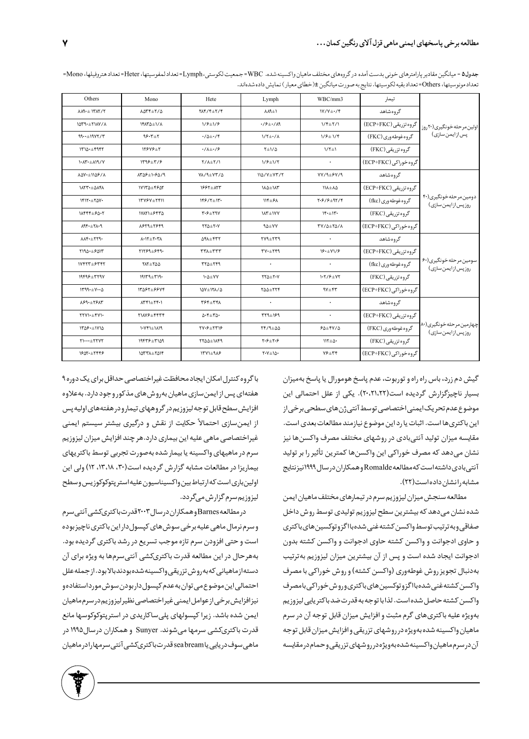| Others                            | Mono                                          | Hete                                                              | Lymph                                                               | WBC/mm3                        | تيمار                 |                                                |  |
|-----------------------------------|-----------------------------------------------|-------------------------------------------------------------------|---------------------------------------------------------------------|--------------------------------|-----------------------|------------------------------------------------|--|
| $\Lambda \Lambda$ 1- $\pm$ 1٣٨٢/٢ | 1074±7/0                                      | $Y\Lambda f/F \pm Y/F$                                            | $\Lambda$ A۹ $\pm$ ۱                                                | $IY/Y \pm IY$                  | گروه شاهد             | اولین مرحله خونگیری(۲۰ روز                     |  |
| $1049. \pm 1107/1$                | <b>IFATA+I/A</b>                              | $1/9 \pm 1/9$                                                     | $\cdot$ /۶ $\pm$ $\cdot$ /۸۹                                        | $1/f \pm 7/1$                  | گروه تزریقی (ECP+FKC) |                                                |  |
| $99.4+1907/7$                     | $95.7 + 7$                                    | $\cdot/\Delta \pm \cdot/\mathfrak{f}$                             | $1/\tau \pm 1/\lambda$                                              | $1/9 \pm 1/9$                  | گروه غوطه وري (FKC)   | پس از ایمن سازی)                               |  |
| $1710. + 9997$                    | 12848±1                                       | $\cdot/\lambda + \cdot$ /۶                                        | $Y \pm 1/\Delta$                                                    | $1/\tau \pm 1$                 | گروه تزریقی (FKC)     |                                                |  |
| 1.17.19/7                         | $1799 \pm 779$                                | $Y/\lambda \pm Y/\lambda$                                         | $1/9 \pm 1/7$                                                       | $\bullet$                      | گروه خوراکی (ECP+FKC) |                                                |  |
| <b>ADY</b> . ± 1108/A             | 1508±1.80/9                                   | VA/9±YT/A                                                         | 114/Y±Y٣/٢                                                          | $YY/9\pm SY/9$                 | گروه شاهد             |                                                |  |
| <b>INTT-±0AFA</b>                 | ١٧١٣٥±٤۶٥٢                                    | 1997±177                                                          | <b>IAQ±IAY</b>                                                      | $11\lambda \pm \lambda \Delta$ | گروه تزریقی (ECP+FKC) |                                                |  |
| 1517.470V                         | $1509 + 561$                                  | $159/7 \pm 17$                                                    | $11f + 5f$                                                          | $Y.979 + 9Y.79$                | گروه غوطه وری (fkc)   | دومین مرحله خونگیری(۴۰  <br>روزپس ازایمن سازی) |  |
| 11444+60.7                        | 17871±6475                                    | $\mathsf{r\cdot} \mathsf{s} \pm \mathsf{r} \mathsf{a} \mathsf{v}$ | <b>IAT±IYY</b>                                                      | 15.11                          | گروہ تن یقی (FKC)     |                                                |  |
| $A9f + H19$                       | 89311741                                      | $YY\Delta \pm Y\cdot Y$                                           | $90+VV$                                                             | TV/0±70/A                      | گروه خوراکی (ECP+FKC) |                                                |  |
| $\lambda \lambda$ ۴. $\pm$ ۲۲۹.   | $\lambda$ - $\lambda$ + $\lambda$ + $\lambda$ | $\Delta f \Lambda \pm f \Upsilon \Upsilon$                        | $YY9+YY9$                                                           | $\bullet$                      | گروه شاهد             |                                                |  |
| ١٩٥٠±۶٥١٣                         | <b>TITS9±849.</b>                             | $TT\lambda + TTT$                                                 | $TY+Yf9$                                                            | 19.1                           | گروه تزریقی (ECP+FKC) |                                                |  |
| 17427±634                         | <b>TAT+TO0</b>                                | 772±749                                                           | $\bullet$                                                           | $\bullet$                      | گروه غوطه وري (fkc)   | سومین مرحلهخونگیری(۶۰<br>روزپس زایمن سازی)     |  |
| $19699 \pm 7790$                  | $191179 + 719$                                | $\mathsf{N} \Delta + \mathsf{V} \mathsf{V}$                       | $\mathsf{YY}\Delta \pm \mathsf{Y}\cdot \mathsf{Y}$                  | $1 - 779 \pm 07$               | گروه تزریقی (FKC)     |                                                |  |
| 1799.11                           | 1387±8874                                     | $10Y \pm 171/0$                                                   | $Y\Delta\Delta \pm YYf$                                             | $9V \pm 9V$                    | گروہ خوراکی (ECP+FKC) |                                                |  |
| $\lambda 99. \pm 19.17$           | $\Lambda$ ۳۴۱ $\pm$ ۲۴۰۱                      | <b>TSF±TFA</b>                                                    | $\ddot{\phantom{0}}$                                                | $\ddot{\phantom{0}}$           | گروه شاهد             |                                                |  |
| ٢٢٧١٠±۴٧١٠                        | <b>MAYS±4444</b>                              | $0.5 + T0.$                                                       | $YY9\pm199$                                                         | $\bullet$                      | گروه تزریقی (ECP+FKC) |                                                |  |
| $1509 \cdot \pm 1010$             | $1.11 + 1.11$                                 | ٢٧٠۶+٢٣١۶                                                         | $Yf/A \pm \Delta \Delta$                                            | $64 + 10$                      | گروه غوطهوری (FKC)    | چهارمین مرحله خونگیری(۸۰<br>روزپس ازایمن سازی) |  |
| $Y$ $\cdots \pm Y$ YYY            | 19448±4109                                    | ٢٢٥٥±١٨۴٩                                                         | $\mathbf{Y}\cdot\mathbf{\varphi}\pm\mathbf{Y}\cdot\mathbf{\varphi}$ | $115 + 0$                      | گروه تزریقی (FKC)     |                                                |  |
| 1601.±٢۴۴۶                        | $1077\lambda + 7019$                          | $17Y1 \pm 9A9$                                                    | $\mathsf{Y}\cdot\mathsf{Y}\pm\mathsf{I}\Delta\cdot$                 | $Y$ ۶ $\pm$ ۳۴                 | گروہ خوراکی (ECP+FKC) |                                                |  |

جدول۵ - ميانگين مقادير پارامترهاي خوني بدست آمده در گروههاي مختلف ماهيان واكسينه شده. WBC= جمعيت لكوستي التعداد لمفوسيتها، Heter=تعداد هتروفيلها، Mono تعداد مونوسيتها، Others=تعداد بقيه لكوسيتها. نتايج به صورت ميانگين ±(خطاي معيار) نمايش داده شدهاند.

گیش دم زرد، باس راه راه و توربوت، عدم پاسخ هومورال یا پاسخ بهمیزان بسیار ناچیزگزارش گردیده است(۲۰،۲۱،۲۲). یکی از علل احتمالی این موضوع عدم تحريک ايمنى اختصاصي توسط آنتى ژن هاى سطحى برخى از این باکتریها است. اثبات یا رد این موضوع نیازمند مطالعات بعدی است. مقایسه میزان تولید آنتیبادی در روشهای مختلف مصرف واکسن ها نیز نشان میدهد که مصرف خوراکی این واکسن ها کمترین تأثیر را بر تولید آنتے بادی داشته است که مطالعه Romalde وهمکاران در سال ۱۹۹۹ نیز نتایج مشابه رانشان داده است(۲۲).

مطالعه سنجش میزان لیزوزیم سرم در تیمارهای مختلف ماهیان ایمن شده نشان می دهد که بیشترین سطح لیزوزیم تولیدی توسط روش داخل صفاقى وبه ترتيب توسط واكسن كشته غنى شده بااگزو توكسين هاى باكترى و حاوی ادجوانت و واکسن کشته حاوی ادجوانت و واکسن کشته بدون ادجوانت ایجاد شده است و پس از آن بیشترین میزان لیزوزیم بهترتیب بهدنبال تجويز روش غوطهوري (واكسن كشته) و روش خوراكي با مصرف واكسن كشته غنى شده بااگزو توكسين هاى باكترى وروش خوراكى بامصرف واكسن كشته حاصل شده است. لذا با توجه به قدرت ضد باكتريايي ليزوزيم بهويژه عليه باكترىهاى گرم مثبت و افزايش ميزان قابل توجه آن در سرم ماهیان واکسینه شده بهویژه در روشهای تزریقی و افزایش میزان قابل توجه آن در سرم ماهیان واکسینه شده به ویژه در رو شهای تزریقی و حمام در مقایسه

باگروه کنترل امکان ایجاد محافظت غیراختصاصی حداقل برای یک دوره ۹ هفتهای پس از ایمن سازی ماهیان بهروش های مذکور وجود دارد. بهعلاوه افزايش سطح قابل توجه ليزوزيم در گروههاى تيمارو در هفتههاى اوليه پس از ایمنسازی احتمالاً حکایت از نقش و درگیری بیشتر سیستم ایمنی غیراختصاصی ماهی علیه این بیماری دارد.هر چند افزایش میزان لیزوزیم سرم در ماهیهای واکسینه یا بیمار شده بهصورت تجربی توسط باکتریهای بیماریزا در مطالعات مشابه گزارش گردیده است(۳۰، ۱۳،۱۸، ۱۲) ولی این اولين بارى است كه ارتباط بين واكسيناسيون عليه استر پتوكوكوزيس وسطح ليزوزيم سرم گزارش مىگردد.

درمطالعهBarnesوهمكاران درسال ۲۰۰۳قدرت باكترىكشى آنتى سرم و سرم نرمال ماهی علیه برخی سوش های کپسول دار این باکتری ناچیز بوده است و حتی افزودن سرم تازه موجب تسریع در رشد باکتری گردیده بود. بههرحال در این مطالعه قدرت باکتریکشی آنتی سرمها به ویژه برای آن دستهازماهياني كەبەروش تزريقى واكسينەشدەبودندبالابود. از جملەعلل احتمالي اين موضوع مي توان به عدم كپسول دار بودن سوش مورد استفاده و نيزافزايش برخي ازعوامل ايمني غيراختصاصي نظير ليزوزيم درسرم ماهيان ایمن شده باشد. زیرا کپسولهای پلیساکاریدی در استرپتوکوکوسها مانع قدرت باکتریکشی سرمها میشوند. Sunyer و همکاران درسال۱۹۹۵ در ماهى سوف دريايى يا sea bream قدرت باكترىكشى آنتى سرمهارا درماهيان

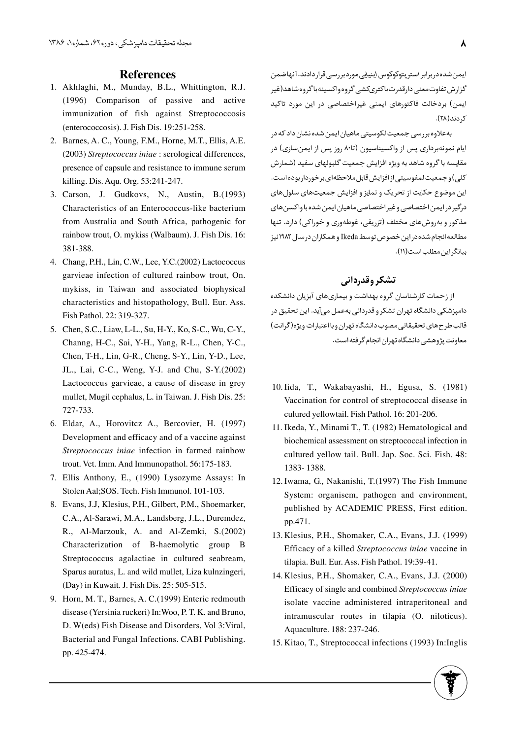### **References**

- Akhlaghi, M., Munday, B.L., Whittington, R.J. 1. (1996) Comparison of passive and active immunization of fish against Streptococcosis (enterococcosis). J. Fish Dis. 19:251-258.
- 2. Barnes, A. C., Young, F.M., Horne, M.T., Ellis, A.E. (2003) *Streptococcus iniae* : serological differences, presence of capsule and resistance to immune serum killing. Dis. Aqu. Org. 53:241-247.
- Carson, J. Gudkovs, N., Austin, B.(1993) 3. Characteristics of an Enterococcus-like bacterium from Australia and South Africa, pathogenic for rainbow trout, O. mykiss (Walbaum). J. Fish Dis. 16: 381-388.
- Chang, P.H., Lin, C.W., Lee, Y.C.(2002) Lactococcus 4. garvieae infection of cultured rainbow trout, On. mykiss, in Taiwan and associated biophysical characteristics and histopathology, Bull. Eur. Ass. Fish Pathol. 22: 319-327.
- 5. Chen, S.C., Liaw, L-L., Su, H-Y., Ko, S-C., Wu, C-Y., Channg, H-C., Sai, Y-H., Yang, R-L., Chen, Y-C., Chen, T-H., Lin, G-R., Cheng, S-Y., Lin, Y-D., Lee, JL., Lai, C-C., Weng, Y-J. and Chu, S-Y.(2002) Lactococcus garvieae, a cause of disease in grey mullet, Mugil cephalus, L. in Taiwan. J. Fish Dis. 25: 727-733.
- Eldar, A., Horovitcz A., Bercovier, H. (1997) 6. Development and efficacy and of a vaccine against *Streptococcus iniae* infection in farmed rainbow trout. Vet. Imm. And Immunopathol. 56:175-183.
- Ellis Anthony, E., (1990) Lysozyme Assays: In 7. Stolen Aal;SOS. Tech. Fish Immunol. 101-103.
- Evans, J.J, Klesius, P.H., Gilbert, P.M., Shoemarker, 8. C.A., Al-Sarawi, M.A., Landsberg, J.L., Duremdez, R., Al-Marzouk, A. and Al-Zemki, S.(2002) Characterization of B-haemolytic group B Streptococcus agalactiae in cultured seabream, Sparus auratus, L. and wild mullet, Liza kulnzingeri, (Day) in Kuwait. J. Fish Dis. 25: 505-515.
- 9. Horn, M. T., Barnes, A. C.(1999) Enteric redmouth disease (Yersinia ruckeri) In:Woo, P. T. K. and Bruno, D. W(eds) Fish Disease and Disorders, Vol 3:Viral, Bacterial and Fungal Infections. CABI Publishing. pp. 425-474.

ایمن شده در برابر استر پتوکوکوس اینپایی موردبر رسی قرار دادند. آنهاضمن گزارش تفاوت معنی دارقدرت باکتریکشی گروه واکسینه باگروه شاهد(غیر ایمن) بردخالت فاکتورهای ایمنی غیراختصاصی در این مورد تاکید ک دند(۲۸).

به علاوه بررسی جمعیت لکوسیتی ماهیان ایمن شده نشان داد که در ایام نمونهبرداری پس از واکسیناسیون (تا۸۰ روز پس از ایمنسازی) در مقایسه با گروه شاهد به ویژه افزایش جمعیت گلبولهای سفید (شمارش کلی) و جمعیت لمفوسیتی از افزایش قابل ملاحظهای برخوردار بوده است. این موضوع حکایت از تحریک و تمایز و افزایش جمعیتهای سلولهای درگیر در ایمن اختصاصی و غیراختصاصی ماهیان ایمن شده با واکسن های مذکور و بهروشهای مختلف (تزریقی، غوطهوری و خوراکی) دارد. تنها مطالعه انجام شده در این خصوص توسط Ikeda و همکاران در سال ۱۹۸۲ نیز بيانگراين مطلب است (١١).

## تشكر وقدرداني

از زحمات کارشناسان گروه بهداشت و بیماریهای آبزیان دانشکده دامپزشکی دانشگاه تهران تشکر و قدردانی بهعمل میآید. این تحقیق در قالب طرحهاى تحقيقاتي مصوب دانشگاه تهران وبااعتبارات ويژه(گرانت) معاونت پژوهشی دانشگاه تهران انجام گرفته است.

- 10. Iida, T., Wakabayashi, H., Egusa, S. (1981) Vaccination for control of streptococcal disease in culured yellowtail. Fish Pathol. 16: 201-206.
- 11. Ikeda, Y., Minami T., T. (1982) Hematological and biochemical assessment on streptococcal infection in cultured yellow tail. Bull. Jap. Soc. Sci. Fish. 48: 1383- 1388.
- 12. Iwama, G., Nakanishi, T.(1997) The Fish Immune System: organisem, pathogen and environment, published by ACADEMIC PRESS, First edition. pp.471.
- 13. Klesius, P.H., Shomaker, C.A., Evans, J.J. (1999) Efficacy of a killed *Streptococcus iniae* vaccine in tilapia. Bull. Eur. Ass. Fish Pathol. 19:39-41.
- Klesius, P.H., Shomaker, C.A., Evans, J.J. (2000) 14. Efficacy of single and combined *Streptococcus iniae* isolate vaccine administered intraperitoneal and intramuscular routes in tilapia (O. niloticus). Aquaculture. 188: 237-246.
- 15. Kitao, T., Streptococcal infections (1993) In:Inglis